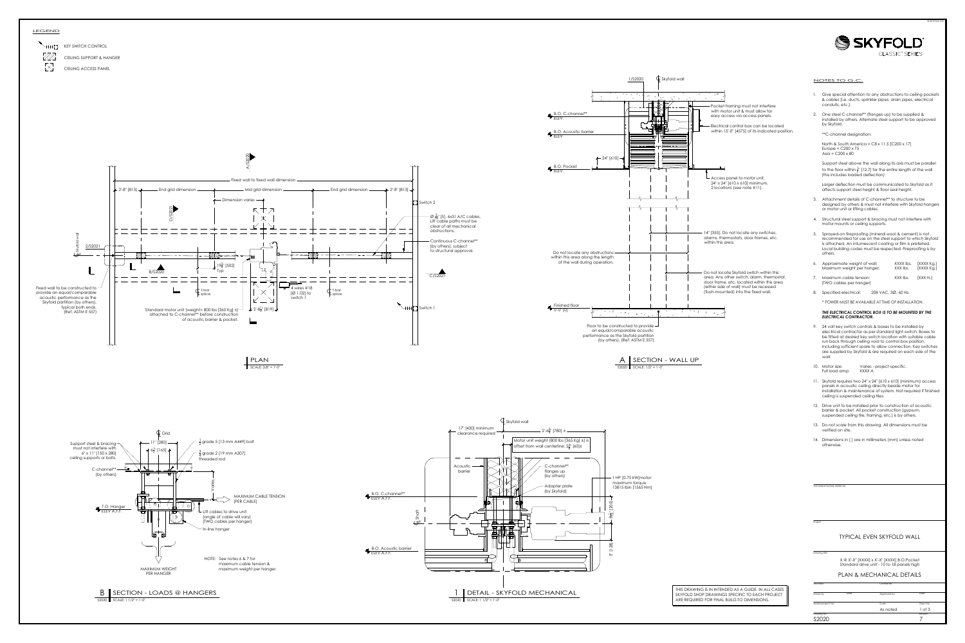



- 
- 

- 
- 
- 
- 
- 
- 

- 
- 
- 
- 
- 
- 

# Project<br>
Drawing title Sky (SKYFOLD WALL<br>
Drawing title Sky (SKY SKY SKYFOLD PVALL<br>
Skyfold project No. Date Approved by Date Approved by Date<br>
Skyfold project No. Scale As noted 1 of 3<br>
Drawing No. As noted 1 of 3<br>
Provin